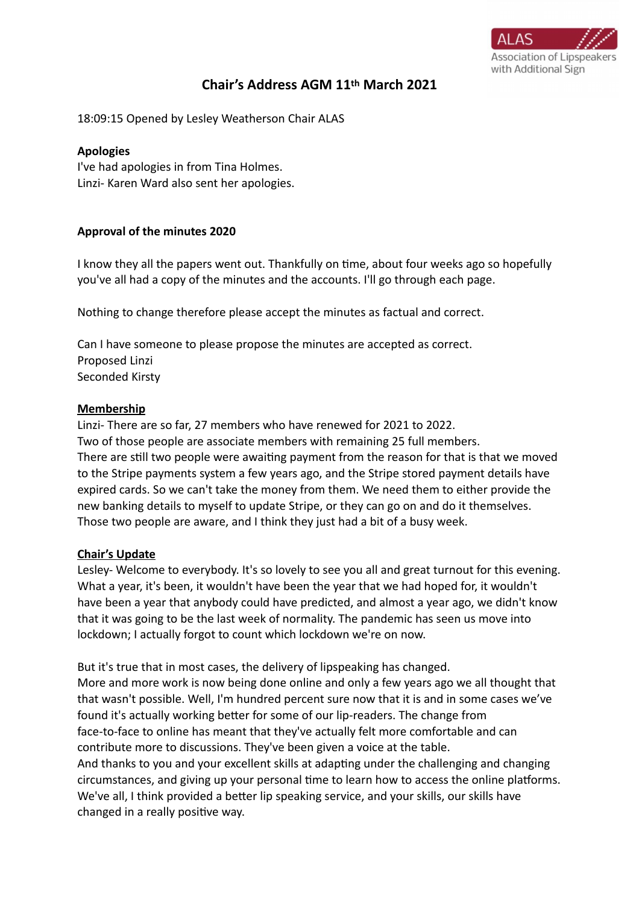

# **Chair's Address AGM 11th March 2021**

18:09:15 Opened by Lesley Weatherson Chair ALAS

#### **Apologies**

I've had apologies in from Tina Holmes. Linzi- Karen Ward also sent her apologies.

### **Approval of the minutes 2020**

I know they all the papers went out. Thankfully on time, about four weeks ago so hopefully you've all had a copy of the minutes and the accounts. I'll go through each page.

Nothing to change therefore please accept the minutes as factual and correct.

Can I have someone to please propose the minutes are accepted as correct. Proposed Linzi Seconded Kirsty

### **Membership**

Linzi- There are so far, 27 members who have renewed for 2021 to 2022. Two of those people are associate members with remaining 25 full members. There are still two people were awaiting payment from the reason for that is that we moved to the Stripe payments system a few years ago, and the Stripe stored payment details have expired cards. So we can't take the money from them. We need them to either provide the new banking details to myself to update Stripe, or they can go on and do it themselves. Those two people are aware, and I think they just had a bit of a busy week.

## **Chair's Update**

Lesley- Welcome to everybody. It's so lovely to see you all and great turnout for this evening. What a year, it's been, it wouldn't have been the year that we had hoped for, it wouldn't have been a year that anybody could have predicted, and almost a year ago, we didn't know that it was going to be the last week of normality. The pandemic has seen us move into lockdown; I actually forgot to count which lockdown we're on now.

But it's true that in most cases, the delivery of lipspeaking has changed. More and more work is now being done online and only a few years ago we all thought that that wasn't possible. Well, I'm hundred percent sure now that it is and in some cases we've found it's actually working better for some of our lip-readers. The change from face-to-face to online has meant that they've actually felt more comfortable and can contribute more to discussions. They've been given a voice at the table. And thanks to you and your excellent skills at adapting under the challenging and changing circumstances, and giving up your personal time to learn how to access the online platforms. We've all, I think provided a better lip speaking service, and your skills, our skills have changed in a really positive way.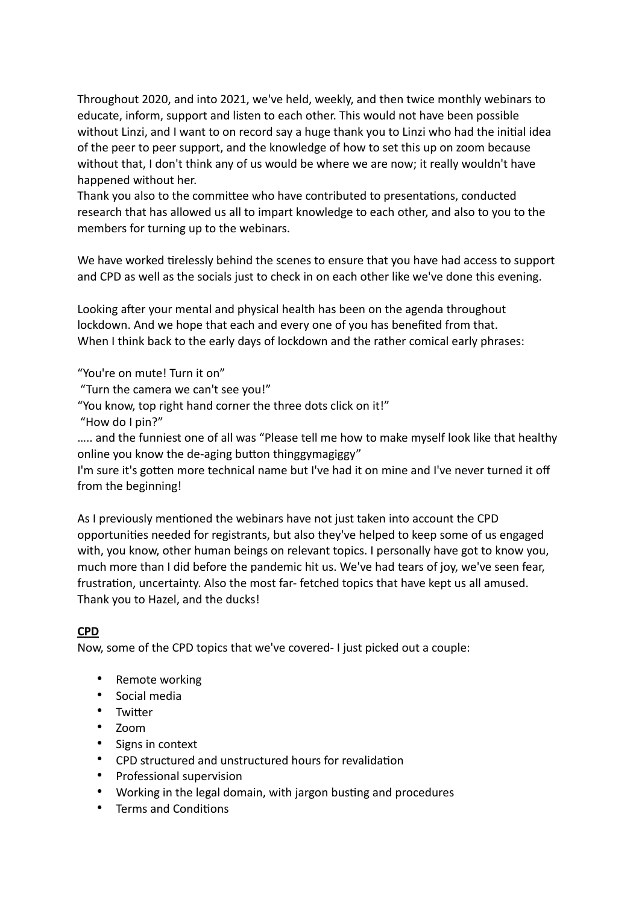Throughout 2020, and into 2021, we've held, weekly, and then twice monthly webinars to educate, inform, support and listen to each other. This would not have been possible without Linzi, and I want to on record say a huge thank you to Linzi who had the initial idea of the peer to peer support, and the knowledge of how to set this up on zoom because without that, I don't think any of us would be where we are now; it really wouldn't have happened without her.

Thank you also to the committee who have contributed to presentations, conducted research that has allowed us all to impart knowledge to each other, and also to you to the members for turning up to the webinars.

We have worked tirelessly behind the scenes to ensure that you have had access to support and CPD as well as the socials just to check in on each other like we've done this evening.

Looking after your mental and physical health has been on the agenda throughout lockdown. And we hope that each and every one of you has benefited from that. When I think back to the early days of lockdown and the rather comical early phrases:

"You're on mute! Turn it on"

"Turn the camera we can't see you!"

"You know, top right hand corner the three dots click on it!"

"How do I pin?"

….. and the funniest one of all was "Please tell me how to make myself look like that healthy online you know the de-aging button thinggymagiggy"

I'm sure it's gotten more technical name but I've had it on mine and I've never turned it off from the beginning!

As I previously mentioned the webinars have not just taken into account the CPD opportunities needed for registrants, but also they've helped to keep some of us engaged with, you know, other human beings on relevant topics. I personally have got to know you, much more than I did before the pandemic hit us. We've had tears of joy, we've seen fear, frustration, uncertainty. Also the most far- fetched topics that have kept us all amused. Thank you to Hazel, and the ducks!

# **CPD**

Now, some of the CPD topics that we've covered- I just picked out a couple:

- Remote working
- Social media
- Twitter
- Zoom
- Signs in context
- CPD structured and unstructured hours for revalidation
- Professional supervision
- Working in the legal domain, with jargon busting and procedures
- Terms and Conditions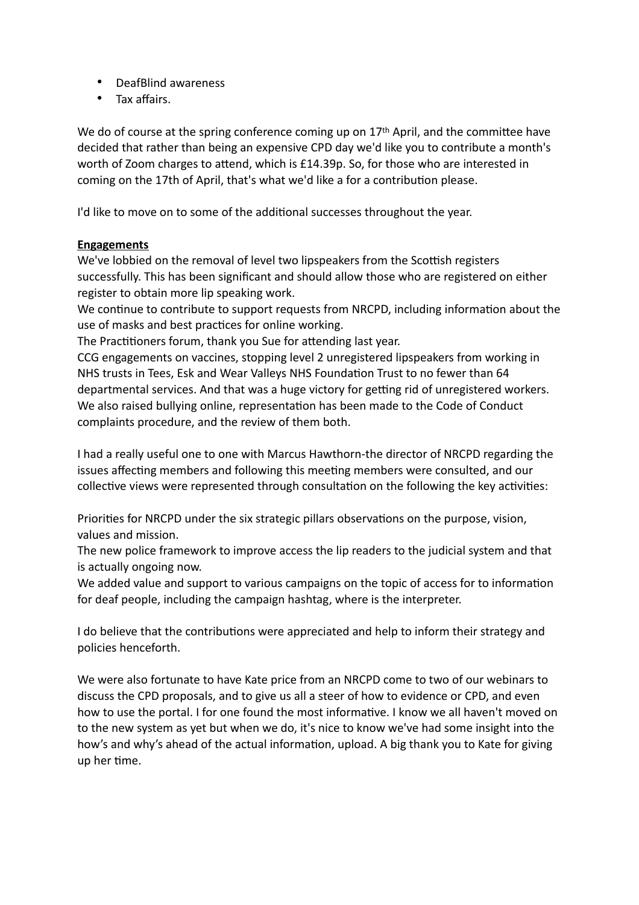- DeafBlind awareness
- Tax affairs.

We do of course at the spring conference coming up on  $17<sup>th</sup>$  April, and the committee have decided that rather than being an expensive CPD day we'd like you to contribute a month's worth of Zoom charges to attend, which is £14.39p. So, for those who are interested in coming on the 17th of April, that's what we'd like a for a contribution please.

I'd like to move on to some of the additional successes throughout the year.

### **Engagements**

We've lobbied on the removal of level two lipspeakers from the Scottish registers successfully. This has been significant and should allow those who are registered on either register to obtain more lip speaking work.

We continue to contribute to support requests from NRCPD, including information about the use of masks and best practices for online working.

The Practitioners forum, thank you Sue for attending last year.

CCG engagements on vaccines, stopping level 2 unregistered lipspeakers from working in NHS trusts in Tees, Esk and Wear Valleys NHS Foundation Trust to no fewer than 64 departmental services. And that was a huge victory for getting rid of unregistered workers. We also raised bullying online, representation has been made to the Code of Conduct complaints procedure, and the review of them both.

I had a really useful one to one with Marcus Hawthorn-the director of NRCPD regarding the issues affecting members and following this meeting members were consulted, and our collective views were represented through consultation on the following the key activities:

Priorities for NRCPD under the six strategic pillars observations on the purpose, vision, values and mission.

The new police framework to improve access the lip readers to the judicial system and that is actually ongoing now.

We added value and support to various campaigns on the topic of access for to information for deaf people, including the campaign hashtag, where is the interpreter.

I do believe that the contributions were appreciated and help to inform their strategy and policies henceforth.

We were also fortunate to have Kate price from an NRCPD come to two of our webinars to discuss the CPD proposals, and to give us all a steer of how to evidence or CPD, and even how to use the portal. I for one found the most informative. I know we all haven't moved on to the new system as yet but when we do, it's nice to know we've had some insight into the how's and why's ahead of the actual information, upload. A big thank you to Kate for giving up her time.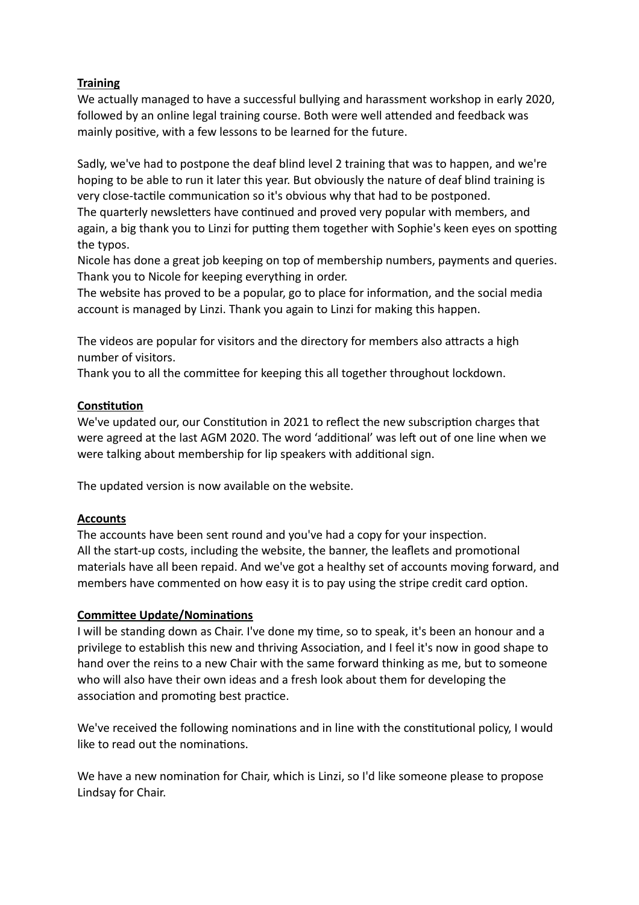## **Training**

We actually managed to have a successful bullying and harassment workshop in early 2020, followed by an online legal training course. Both were well attended and feedback was mainly positive, with a few lessons to be learned for the future.

Sadly, we've had to postpone the deaf blind level 2 training that was to happen, and we're hoping to be able to run it later this year. But obviously the nature of deaf blind training is very close-tactile communication so it's obvious why that had to be postponed.

The quarterly newsletters have continued and proved very popular with members, and again, a big thank you to Linzi for putting them together with Sophie's keen eyes on spotting the typos.

Nicole has done a great job keeping on top of membership numbers, payments and queries. Thank you to Nicole for keeping everything in order.

The website has proved to be a popular, go to place for information, and the social media account is managed by Linzi. Thank you again to Linzi for making this happen.

The videos are popular for visitors and the directory for members also attracts a high number of visitors.

Thank you to all the committee for keeping this all together throughout lockdown.

## **Constitution**

We've updated our, our Constitution in 2021 to reflect the new subscription charges that were agreed at the last AGM 2020. The word 'additional' was left out of one line when we were talking about membership for lip speakers with additional sign.

The updated version is now available on the website.

# **Accounts**

The accounts have been sent round and you've had a copy for your inspection. All the start-up costs, including the website, the banner, the leaflets and promotional materials have all been repaid. And we've got a healthy set of accounts moving forward, and members have commented on how easy it is to pay using the stripe credit card option.

## **Committee Update/Nominations**

I will be standing down as Chair. I've done my time, so to speak, it's been an honour and a privilege to establish this new and thriving Association, and I feel it's now in good shape to hand over the reins to a new Chair with the same forward thinking as me, but to someone who will also have their own ideas and a fresh look about them for developing the association and promoting best practice.

We've received the following nominations and in line with the constitutional policy, I would like to read out the nominations.

We have a new nomination for Chair, which is Linzi, so I'd like someone please to propose Lindsay for Chair.